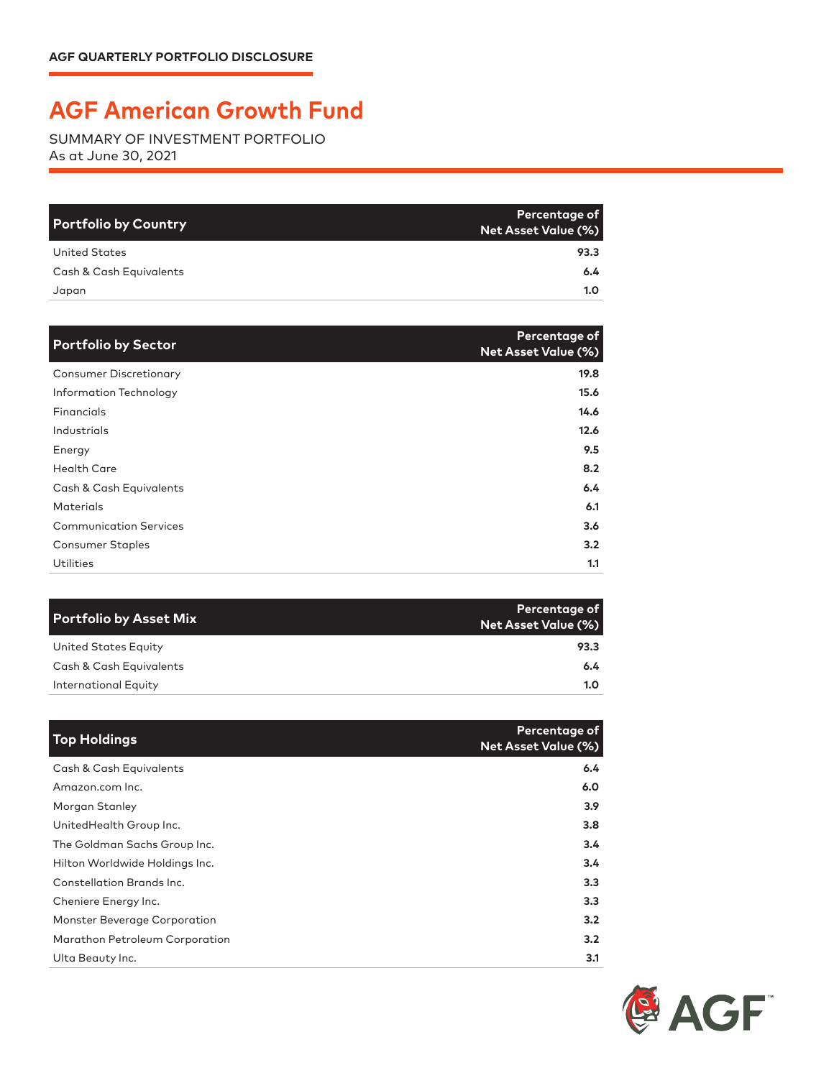## **AGF American Growth Fund**

SUMMARY OF INVESTMENT PORTFOLIO As at June 30, 2021

| <b>Portfolio by Country</b> | Percentage of<br>Net Asset Value (%) |
|-----------------------------|--------------------------------------|
| United States               | 93.3                                 |
| Cash & Cash Equivalents     | 6.4                                  |
| Japan                       | 1.0                                  |

| <b>Portfolio by Sector</b>    | Percentage of<br><b>Net Asset Value (%)</b> |
|-------------------------------|---------------------------------------------|
| <b>Consumer Discretionary</b> | 19.8                                        |
| Information Technology        | 15.6                                        |
| Financials                    | 14.6                                        |
| Industrials                   | 12.6                                        |
| Energy                        | 9.5                                         |
| <b>Health Care</b>            | 8.2                                         |
| Cash & Cash Equivalents       | 6.4                                         |
| <b>Materials</b>              | 6.1                                         |
| <b>Communication Services</b> | 3.6                                         |
| <b>Consumer Staples</b>       | 3.2                                         |
| Utilities                     | 1.1                                         |

| <b>Portfolio by Asset Mix</b> | Percentage of<br><b>Net Asset Value (%)</b> |
|-------------------------------|---------------------------------------------|
| United States Equity          | 93.3                                        |
| Cash & Cash Equivalents       | 6.4                                         |
| International Equity          | 1.0                                         |

| <b>Top Holdings</b>            | Percentage of<br><b>Net Asset Value (%)</b> |
|--------------------------------|---------------------------------------------|
| Cash & Cash Equivalents        | 6.4                                         |
| Amazon.com Inc.                | 6.0                                         |
| Morgan Stanley                 | 3.9 <sub>2</sub>                            |
| UnitedHealth Group Inc.        | 3.8                                         |
| The Goldman Sachs Group Inc.   | 3.4                                         |
| Hilton Worldwide Holdings Inc. | 3.4                                         |
| Constellation Brands Inc.      | 3.3                                         |
| Cheniere Energy Inc.           | 3.3 <sub>2</sub>                            |
| Monster Beverage Corporation   | 3.2                                         |
| Marathon Petroleum Corporation | 3.2                                         |
| Ulta Beauty Inc.               | 3.1                                         |